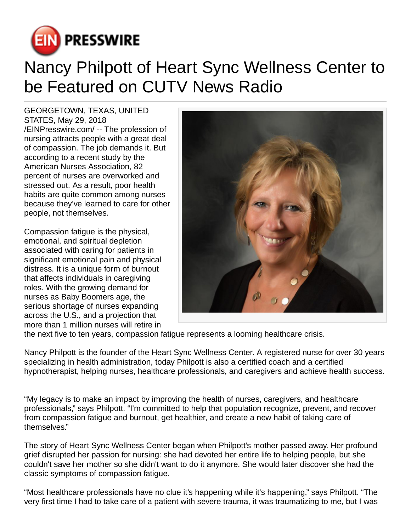

## Nancy Philpott of Heart Sync Wellness Center to be Featured on CUTV News Radio

GEORGETOWN, TEXAS, UNITED STATES, May 29, 2018 [/EINPresswire.com](http://www.einpresswire.com)/ -- The profession of nursing attracts people with a great deal of compassion. The job demands it. But according to a recent study by the American Nurses Association, 82 percent of nurses are overworked and stressed out. As a result, poor health habits are quite common among nurses because they've learned to care for other people, not themselves.

Compassion fatigue is the physical, emotional, and spiritual depletion associated with caring for patients in significant emotional pain and physical distress. It is a unique form of burnout that affects individuals in caregiving roles. With the growing demand for nurses as Baby Boomers age, the serious shortage of nurses expanding across the U.S., and a projection that more than 1 million nurses will retire in



the next five to ten years, compassion fatigue represents a looming healthcare crisis.

Nancy Philpott is the founder of the Heart Sync Wellness Center. A registered nurse for over 30 years specializing in health administration, today Philpott is also a certified coach and a certified hypnotherapist, helping nurses, healthcare professionals, and caregivers and achieve health success.

"My legacy is to make an impact by improving the health of nurses, caregivers, and healthcare professionals," says Philpott. "I'm committed to help that population recognize, prevent, and recover from compassion fatigue and burnout, get healthier, and create a new habit of taking care of themselves."

The story of Heart Sync Wellness Center began when Philpott's mother passed away. Her profound grief disrupted her passion for nursing: she had devoted her entire life to helping people, but she couldn't save her mother so she didn't want to do it anymore. She would later discover she had the classic symptoms of compassion fatigue.

"Most healthcare professionals have no clue it's happening while it's happening," says Philpott. "The very first time I had to take care of a patient with severe trauma, it was traumatizing to me, but I was